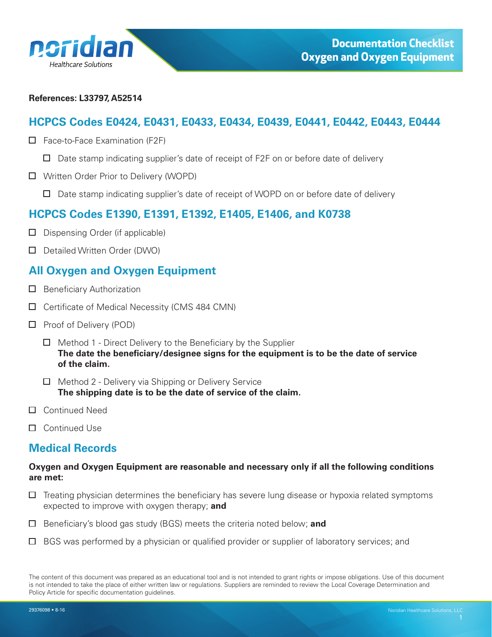<span id="page-0-0"></span>

#### **References: L33797, A52514**

# **HCPCS Codes E0424, E0431, E0433, E0434, E0439, E0441, E0442, E0443, E0444**

- $\Box$  Face-to-Face Examination (F2F)
	- $\Box$  Date stamp indicating supplier's date of receipt of F2F on or before date of delivery
- Written Order Prior to Delivery (WOPD)
	- $\Box$  Date stamp indicating supplier's date of receipt of WOPD on or before date of delivery

# **HCPCS Codes E1390, E1391, E1392, E1405, E1406, and K0738**

- $\Box$  Dispensing Order (if applicable)
- Detailed Written Order (DWO)

# **All Oxygen and Oxygen Equipment**

- $\Box$  Beneficiary Authorization
- $\Box$  Certificate of Medical Necessity (CMS 484 CMN)
- $\Box$  Proof of Delivery (POD)
	- $\Box$  Method 1 Direct Delivery to the Beneficiary by the Supplier **The date the beneficiary/designee signs for the equipment is to be the date of service of the claim.**
	- $\Box$  Method 2 Delivery via Shipping or Delivery Service **The shipping date is to be the date of service of the claim.**
- □ Continued Need
- □ Continued Use

# **Medical Records**

#### **Oxygen and Oxygen Equipment are reasonable and necessary only if all the following conditions are met:**

- $\Box$  Treating physician determines the beneficiary has severe lung disease or hypoxia related symptoms expected to improve with oxygen therapy; **and**
- Beneficiary's blood gas study (BGS) meets the criteria noted below; **and**
- $\Box$  BGS was performed by a physician or qualified provider or supplier of laboratory services; and

The content of this document was prepared as an educational tool and is not intended to grant rights or impose obligations. Use of this document is not intended to take the place of either written law or regulations. Suppliers are reminded to review the Local Coverage Determination and Policy Article for specific documentation guidelines.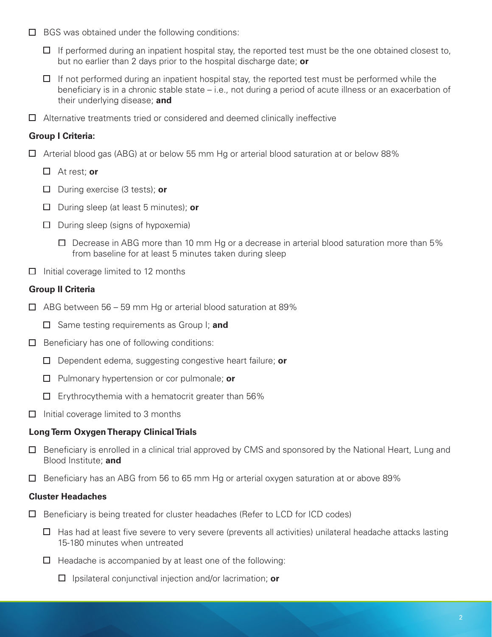- $\Box$  BGS was obtained under the following conditions:
	- $\Box$  If performed during an inpatient hospital stay, the reported test must be the one obtained closest to, but no earlier than 2 days prior to the hospital discharge date; **or**
	- $\Box$  If not performed during an inpatient hospital stay, the reported test must be performed while the beneficiary is in a chronic stable state – i.e., not during a period of acute illness or an exacerbation of their underlying disease; **and**
- $\Box$  Alternative treatments tried or considered and deemed clinically ineffective

## **Group I Criteria:**

- Arterial blood gas (ABG) at or below 55 mm Hg or arterial blood saturation at or below 88%
	- At rest; **or**
	- During exercise (3 tests); **or**
	- During sleep (at least 5 minutes); **or**
	- $\Box$  During sleep (signs of hypoxemia)
		- $\Box$  Decrease in ABG more than 10 mm Hg or a decrease in arterial blood saturation more than 5% from baseline for at least 5 minutes taken during sleep
- $\Box$  Initial coverage limited to 12 months

## **Group II Criteria**

- $\Box$  ABG between 56 59 mm Hg or arterial blood saturation at 89%
	- Same testing requirements as Group I; **and**
- $\Box$  Beneficiary has one of following conditions:
	- Dependent edema, suggesting congestive heart failure; **or**
	- Pulmonary hypertension or cor pulmonale; **or**
	- $\Box$  Erythrocythemia with a hematocrit greater than 56%
- $\Box$  Initial coverage limited to 3 months

## **Long Term Oxygen Therapy Clinical Trials**

- $\Box$  Beneficiary is enrolled in a clinical trial approved by CMS and sponsored by the National Heart, Lung and Blood Institute; **and**
- $\Box$  Beneficiary has an ABG from 56 to 65 mm Hg or arterial oxygen saturation at or above 89%

## **Cluster Headaches**

- $\Box$  Beneficiary is being treated for cluster headaches (Refer to LCD for ICD codes)
	- $\Box$  Has had at least five severe to very severe (prevents all activities) unilateral headache attacks lasting 15-180 minutes when untreated
	- $\Box$  Headache is accompanied by at least one of the following:
		- Ipsilateral conjunctival injection and/or lacrimation; **or**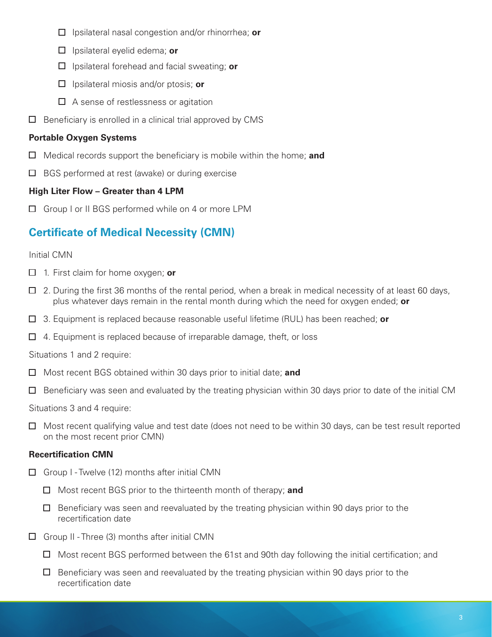- Ipsilateral nasal congestion and/or rhinorrhea; **or**
- Ipsilateral eyelid edema; **or**
- Ipsilateral forehead and facial sweating; **or**
- Ipsilateral miosis and/or ptosis; **or**
- $\Box$  A sense of restlessness or agitation
- $\Box$ Beneficiary is enrolled in a clinical trial approved by CMS

## **Portable Oxygen Systems**

- Medical records support the beneficiary is mobile within the home; **and**
- $\Box$  BGS performed at rest (awake) or during exercise

## **High Liter Flow – Greater than 4 LPM**

□ Group I or II BGS performed while on 4 or more LPM

# **Certificate of Medical Necessity (CMN)**

#### Initial CMN

- 1. First claim for home oxygen; **or**
- $\Box$  2. During the first 36 months of the rental period, when a break in medical necessity of at least 60 days, plus whatever days remain in the rental month during which the need for oxygen ended; **or**
- 3. Equipment is replaced because reasonable useful lifetime (RUL) has been reached; **or**
- $\Box$  4. Equipment is replaced because of irreparable damage, theft, or loss

Situations 1 and 2 require:

- □ Most recent BGS obtained within 30 days prior to initial date; **and**
- $\Box$  Beneficiary was seen and evaluated by the treating physician within 30 days prior to date of the initial CM

Situations 3 and 4 require:

 $\Box$  Most recent qualifying value and test date (does not need to be within 30 days, can be test result reported on the most recent prior CMN)

## **Recertification CMN**

- $\Box$  Group I Twelve (12) months after initial CMN
	- Most recent BGS prior to the thirteenth month of therapy; **and**
	- $\Box$  Beneficiary was seen and reevaluated by the treating physician within 90 days prior to the recertification date
- $\Box$  Group II Three (3) months after initial CMN
	- $\Box$  Most recent BGS performed between the 61st and 90th day following the initial certification; and
	- $\Box$  Beneficiary was seen and reevaluated by the treating physician within 90 days prior to the recertification date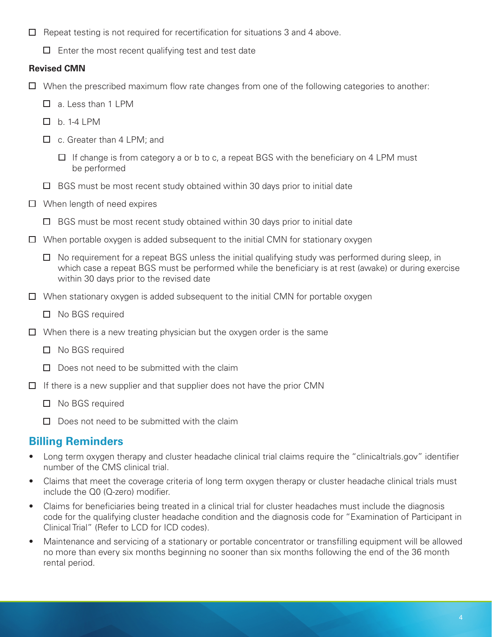- $\Box$  Repeat testing is not required for recertification for situations 3 and 4 above.
	- $\Box$  Enter the most recent qualifying test and test date

# **Revised CMN**

- $\Box$  When the prescribed maximum flow rate changes from one of the following categories to another:
	- $\Box$  a. Less than 1 LPM
	- $\Box$  b. 1-4 I PM
	- □ c. Greater than 4 LPM; and
		- $\Box$  If change is from category a or b to c, a repeat BGS with the beneficiary on 4 LPM must be performed
	- $\Box$  BGS must be most recent study obtained within 30 days prior to initial date
- $\Box$  When length of need expires
	- $\Box$  BGS must be most recent study obtained within 30 days prior to initial date
- $\Box$  When portable oxygen is added subsequent to the initial CMN for stationary oxygen
	- $\Box$  No requirement for a repeat BGS unless the initial qualifying study was performed during sleep, in which case a repeat BGS must be performed while the beneficiary is at rest (awake) or during exercise within 30 days prior to the revised date
- $\Box$  When stationary oxygen is added subsequent to the initial CMN for portable oxygen
	- □ No BGS required
- $\Box$  When there is a new treating physician but the oxygen order is the same
	- □ No BGS required
	- $\square$  Does not need to be submitted with the claim
- $\Box$  If there is a new supplier and that supplier does not have the prior CMN
	- □ No BGS required
	- $\Box$  Does not need to be submitted with the claim

# **Billing Reminders**

- Long term oxygen therapy and cluster headache clinical trial claims require the "clinicaltrials.gov" identifier number of the CMS clinical trial.
- Claims that meet the coverage criteria of long term oxygen therapy or cluster headache clinical trials must include the Q0 (Q-zero) modifier.
- Claims for beneficiaries being treated in a clinical trial for cluster headaches must include the diagnosis code for the qualifying cluster headache condition and the diagnosis code for "Examination of Participant in Clinical Trial" (Refer to LCD for ICD codes).
- Maintenance and servicing of a stationary or portable concentrator or transfilling equipment will be allowed no more than every six months beginning no sooner than six months following the end of the 36 month rental period.